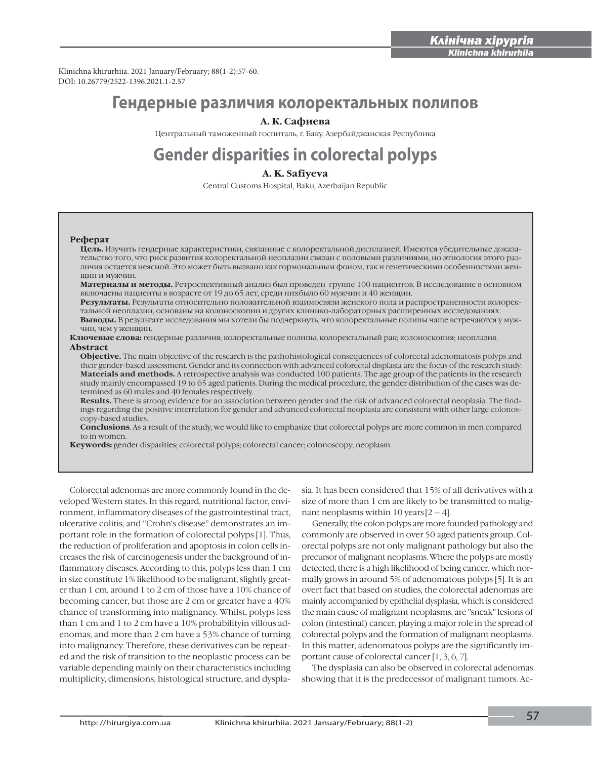i

Klinichna khirurhiia. 2021 January/February; 88(1-2):57-60. DOI: 10.26779/2522-1396.2021.1-2.57

# **Гендерные различия колоректальных полипов**

### **А. К. Сафиева**

Центральный таможенный госпиталь, г. Баку, Азербайджанская Республика

# **Gender disparities in colorectal polyps**

## **A. K. Safiyeva**

Central Customs Hospital, Baku, Azerbaijan Republic

#### **Реферат**

**Цель.** Изучить гендерные характеристики, связанные с колоректальной дисплазией. Имеются убедительные доказательство того, что риск развития колоректальной неоплазии связан с половыми различиями, но этиология этого различия остается неясной. Это может быть вызвано как гормональным фоном, так и генетическими особенностями женщин и мужчин.

**Материалы и методы.** Ретроспективный анализ был проведен группе 100 пациентов. В исследование в основном включаены пациенты в возрасте от 19 до 65 лет, среди нихбыло 60 мужчин и 40 женщин.

**Результаты.** Результаты относительно положительной взаимосвязи женского пола и распространенности колоректальной неоплазии, основаны на колоноскопии и других клинико-лабораторных расширенных исследованиях. **Bыводы.** В результате исследования мы хотели бы подчеркнуть, что колоректальные полипы чаще встречаются у мужчин, чем у женщин.

**Ключевые слова:** гендерные различия; колоректальные полипы; колоректальный рак; колоноскопия; неоплазия. **Abstract**

**Objective.** The main objective of the research is the pathohistological consequences of colorectal adenomatosis polyps and their gender-based assessment. Gender and its connection with advanced colorectal displasia are the focus of the research study. **Materials and methods.** A retrospective analysis was conducted 100 patients. The age group of the patients in the research study mainly encompassed 19 to 65 aged patients. During the medical procedure, the gender distribution of the cases was determined as 60 males and 40 females respectively.

**Results.** There is strong evidence for an association between gender and the risk of advanced colorectal neoplasia. The findings regarding the positive interrelation for gender and advanced colorectal neoplasia are consistent with other large colonoscopy-based studies.

**Conclusions**. As a result of the study, we would like to emphasize that colorectal polyps are more common in men compared to in women.

**Keywords:** gender disparities; colorectal polyps; colorectal cancer; colonoscopy; neoplasm.

Colorectal adenomas are more commonly found in the developed Western states. In this regard, nutritional factor, environment, inflammatory diseases of the gastrointestinal tract, ulcerative colitis, and "Crohn's disease" demonstrates an important role in the formation of colorectal polyps [1]. Thus, the reduction of proliferation and apoptosis in colon cells increases the risk of carcinogenesis under the background of inflammatory diseases. According to this, polyps less than 1 cm in size constitute 1% likelihood to be malignant, slightly greater than 1 cm, around 1 to 2 cm of those have a 10% chance of becoming cancer, but those are 2 cm or greater have a 40% chance of transforming into malignancy. Whilst, polyps less than 1 cm and 1 to 2 cm have a 10% probabilityin villous adenomas, and more than 2 cm have a 53% chance of turning into malignancy. Therefore, these derivatives can be repeated and the risk of transition to the neoplastic process can be variable depending mainly on their characteristics including multiplicity, dimensions, histological structure, and dysplasia. It has been considered that 15% of all derivatives with a size of more than 1 cm are likely to be transmitted to malignant neoplasms within 10 years  $[2 - 4]$ .

Generally, the colon polyps are more founded pathology and commonly are observed in over 50 aged patients group. Colorectal polyps are not only malignant pathology but also the precursor of malignant neoplasms. Where the polyps are mostly detected, there is a high likelihood of being cancer, which normally grows in around 5% of adenomatous polyps [5]. It is an overt fact that based on studies, the colorectal adenomas are mainly accompanied by epithelial dysplasia, which is considered the main cause of malignant neoplasms, are "sneak" lesions of colon (intestinal) cancer, playing a major role in the spread of colorectal polyps and the formation of malignant neoplasms. In this matter, adenomatous polyps are the significantly important cause of colorectal cancer [1, 3, 6, 7].

The dysplasia can also be observed in colorectal adenomas showing that it is the predecessor of malignant tumors. Ac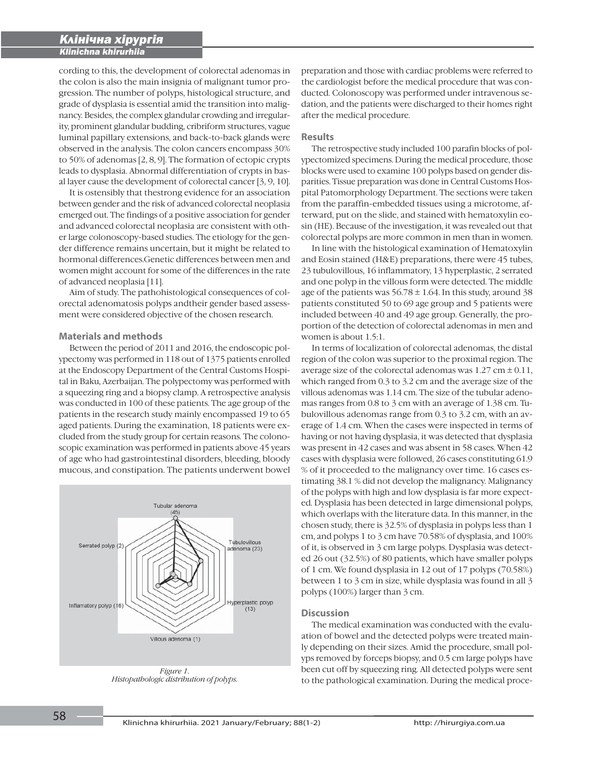i

cording to this, the development of colorectal adenomas in the colon is also the main insignia of malignant tumor progression. The number of polyps, histological structure, and grade of dysplasia is essential amid the transition into malignancy. Besides, the complex glandular crowding and irregularity, prominent glandular budding, cribriform structures, vague luminal papillary extensions, and back-to-back glands were observed in the analysis. The colon cancers encompass 30% to 50% of adenomas [2, 8, 9]. The formation of ectopic crypts leads to dysplasia. Abnormal differentiation of crypts in basal layer cause the development of colorectal cancer [3, 9, 10].

It is ostensibly that thestrong evidence for an association between gender and the risk of advanced colorectal neoplasia emerged out. The findings of a positive association for gender and advanced colorectal neoplasia are consistent with other large colonoscopy-based studies. The etiology for the gender difference remains uncertain, but it might be related to hormonal differences.Genetic differences between men and women might account for some of the differences in the rate of advanced neoplasia [11].

Aim of study. The pathohistological consequences of colorectal adenomatosis polyps andtheir gender based assessment were considered objective of the chosen research.

#### **Materials and methods**

Between the period of 2011 and 2016, the endoscopic polypectomy was performed in 118 out of 1375 patients enrolled at the Endoscopy Department of the Central Customs Hospital in Baku, Azerbaijan. The polypectomy was performed with a squeezing ring and a biopsy clamp. A retrospective analysis was conducted in 100 of these patients. The age group of the patients in the research study mainly encompassed 19 to 65 aged patients. During the examination, 18 patients were excluded from the study group for certain reasons. The colonoscopic examination was performed in patients above 45 years of age who had gastrointestinal disorders, bleeding, bloody mucous, and constipation. The patients underwent bowel



*Figure 1. Histopathologic distribution of polyps.*

preparation and those with cardiac problems were referred to the cardiologist before the medical procedure that was conducted. Colonoscopy was performed under intravenous sedation, and the patients were discharged to their homes right after the medical procedure.

#### **Results**

The retrospective study included 100 parafin blocks of polypectomized specimens. During the medical procedure, those blocks were used to examine 100 polyps based on gender disparities. Tissue preparation was done in Central Customs Hospital Patomorphology Department. The sections were taken from the paraffin-embedded tissues using a microtome, afterward, put on the slide, and stained with hematoxylin eosin (HE). Because of the investigation, it was revealed out that colorectal polyps are more common in men than in women.

In line with the histological examination of Hematoxylin and Eosin stained (H&E) preparations, there were 45 tubes, 23 tubulovillous, 16 inflammatory, 13 hyperplastic, 2 serrated and one polyp in the villous form were detected. The middle age of the patients was  $56.78 \pm 1.64$ . In this study, around 38 patients constituted 50 to 69 age group and 5 patients were included between 40 and 49 age group. Generally, the proportion of the detection of colorectal adenomas in men and women is about 1.5:1.

In terms of localization of colorectal adenomas, the distal region of the colon was superior to the proximal region. The average size of the colorectal adenomas was  $1.27 \text{ cm} \pm 0.11$ , which ranged from 0.3 to 3.2 cm and the average size of the villous adenomas was 1.14 cm. The size of the tubular adenomas ranges from 0.8 to 3 cm with an average of 1.38 cm. Tubulovillous adenomas range from 0.3 to 3.2 cm, with an average of 1.4 cm. When the cases were inspected in terms of having or not having dysplasia, it was detected that dysplasia was present in 42 cases and was absent in 58 cases. When 42 cases with dysplasia were followed, 26 cases constituting 61.9 % of it proceeded to the malignancy over time. 16 cases estimating 38.1 % did not develop the malignancy. Malignancy of the polyps with high and low dysplasia is far more expected. Dysplasia has been detected in large dimensional polyps, which overlaps with the literature data. In this manner, in the chosen study, there is 32.5% of dysplasia in polyps less than 1 cm, and polyps 1 to 3 cm have 70.58% of dysplasia, and 100% of it, is observed in 3 cm large polyps. Dysplasia was detected 26 out (32.5%) of 80 patients, which have smaller polyps of 1 cm. We found dysplasia in 12 out of 17 polyps (70.58%) between 1 to 3 cm in size, while dysplasia was found in all 3 polyps (100%) larger than 3 cm.

#### **Discussion**

The medical examination was conducted with the evaluation of bowel and the detected polyps were treated mainly depending on their sizes. Amid the procedure, small polyps removed by forceps biopsy, and 0.5 cm large polyps have been cut off by squeezing ring. All detected polyps were sent to the pathological examination. During the medical proce-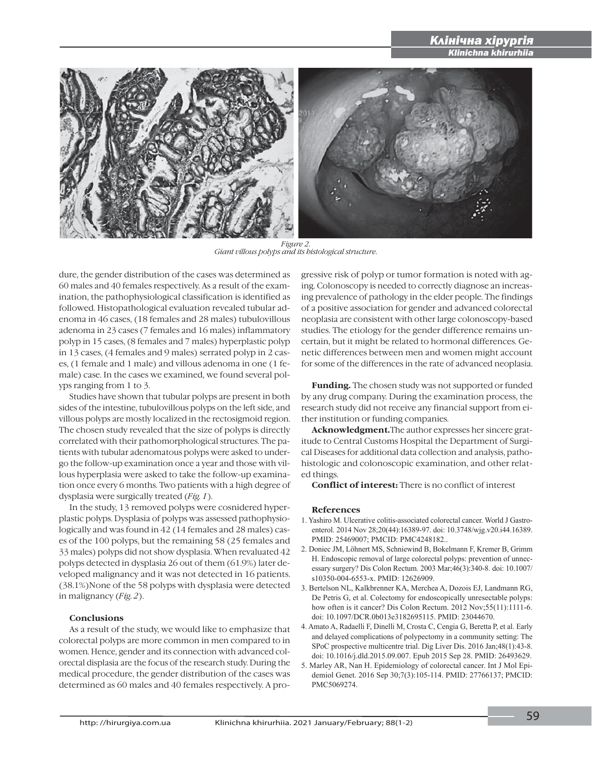

*Figure 2. Giant villous polyps and its histological structure.*

dure, the gender distribution of the cases was determined as 60 males and 40 females respectively. As a result of the examination, the pathophysiological classification is identified as followed. Histopathological evaluation revealed tubular adenoma in 46 cases, (18 females and 28 males) tubulovillous adenoma in 23 cases (7 females and 16 males) inflammatory polyp in 15 cases, (8 females and 7 males) hyperplastic polyp in 13 cases, (4 females and 9 males) serrated polyp in 2 cases, (1 female and 1 male) and villous adenoma in one (1 female) case. In the cases we examined, we found several polyps ranging from 1 to 3.

Studies have shown that tubular polyps are present in both sides of the intestine, tubulovillous polyps on the left side, and villous polyps are mostly localized in the rectosigmoid region. The chosen study revealed that the size of polyps is directly correlated with their pathomorphological structures. The patients with tubular adenomatous polyps were asked to undergo the follow-up examination once a year and those with villous hyperplasia were asked to take the follow-up examination once every 6 months. Two patients with a high degree of dysplasia were surgically treated (*Fig. 1*).

In the study, 13 removed polyps were cosnidered hyperplastic polyps. Dysplasia of polyps was assessed pathophysiologically and was found in 42 (14 females and 28 males) cases of the 100 polyps, but the remaining 58 (25 females and 33 males) polyps did not show dysplasia. When revaluated 42 polyps detected in dysplasia 26 out of them (61.9%) later developed malignancy and it was not detected in 16 patients. (38.1%)None of the 58 polyps with dysplasia were detected in malignancy (*Fig. 2*).

#### **Conclusions**

 As a result of the study, we would like to emphasize that colorectal polyps are more common in men compared to in women. Hence, gender and its connection with advanced colorectal displasia are the focus of the research study. During the medical procedure, the gender distribution of the cases was determined as 60 males and 40 females respectively. A progressive risk of polyp or tumor formation is noted with aging. Colonoscopy is needed to correctly diagnose an increasing prevalence of pathology in the elder people. The findings of a positive association for gender and advanced colorectal neoplasia are consistent with other large colonoscopy-based studies. The etiology for the gender difference remains uncertain, but it might be related to hormonal differences. Genetic differences between men and women might account for some of the differences in the rate of advanced neoplasia.

i

**Funding.** The chosen study was not supported or funded by any drug company. During the examination process, the research study did not receive any financial support from either institution or funding companies.

**Acknowledgment.**The author expresses her sincere gratitude to Central Customs Hospital the Department of Surgical Diseases for additional data collection and analysis, pathohistologic and colonoscopic examination, and other related things.

**Conflict of interest:** There is no conflict of interest

#### **References**

- 1. Yashiro M. Ulcerative colitis-associated colorectal cancer. World J Gastroenterol. 2014 Nov 28;20(44):16389-97. doi: 10.3748/wjg.v20.i44.16389. PMID: 25469007; PMCID: PMC4248182..
- 2. Doniec JM, Löhnert MS, Schniewind B, Bokelmann F, Kremer B, Grimm H. Endoscopic removal of large colorectal polyps: prevention of unnecessary surgery? Dis Colon Rectum. 2003 Mar;46(3):340-8. doi: 10.1007/ s10350-004-6553-x. PMID: 12626909.
- 3. Bertelson NL, Kalkbrenner KA, Merchea A, Dozois EJ, Landmann RG, De Petris G, et al. Colectomy for endoscopically unresectable polyps: how often is it cancer? Dis Colon Rectum. 2012 Nov;55(11):1111-6. doi: 10.1097/DCR.0b013e3182695115. PMID: 23044670.
- 4. Amato A, Radaelli F, Dinelli M, Crosta C, Cengia G, Beretta P, et al. Early and delayed complications of polypectomy in a community setting: The SPoC prospective multicentre trial. Dig Liver Dis. 2016 Jan;48(1):43-8. doi: 10.1016/j.dld.2015.09.007. Epub 2015 Sep 28. PMID: 26493629.
- 5. Marley AR, Nan H. Epidemiology of colorectal cancer. Int J Mol Epidemiol Genet. 2016 Sep 30;7(3):105-114. PMID: 27766137; PMCID: PMC5069274.